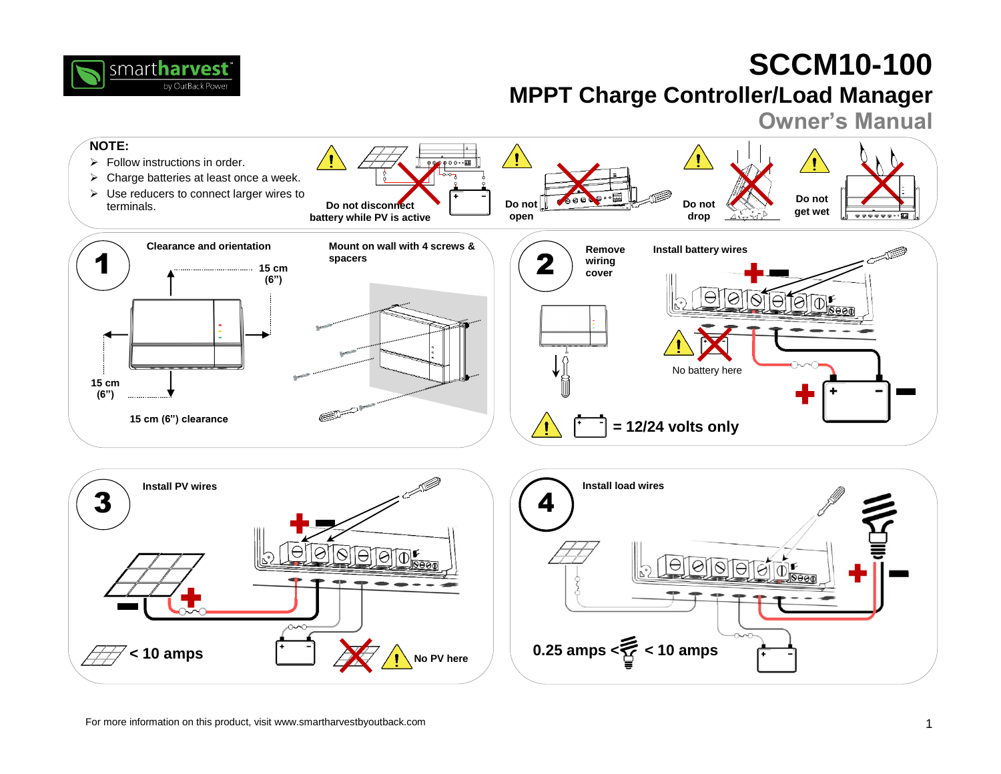

# **[SCCM10-100](http://www.altestore.com/store/Charge-Controllers/Solar-Charge-Controllers/MPPT-Solar-Charge-Controllers/Outback-Solar-Charge-Controllers-MPPT/c482/)**

## **MPPT Charge Controller/Load Manager**

**Owner's Manual**

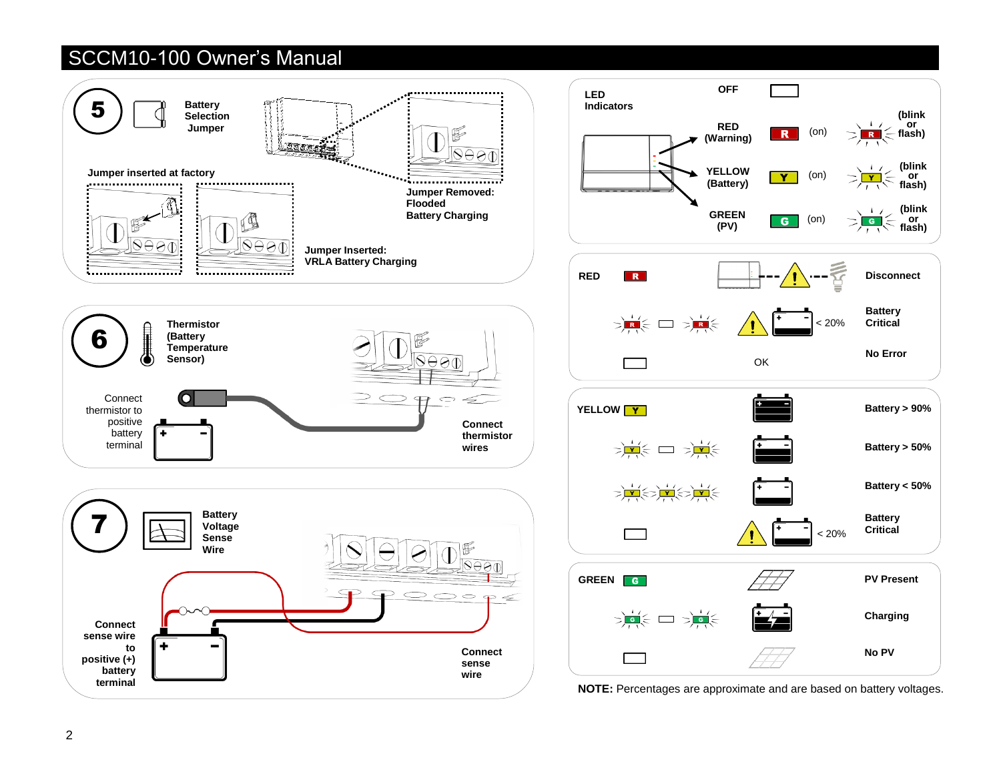### SCCM10-100 Owner's Manual

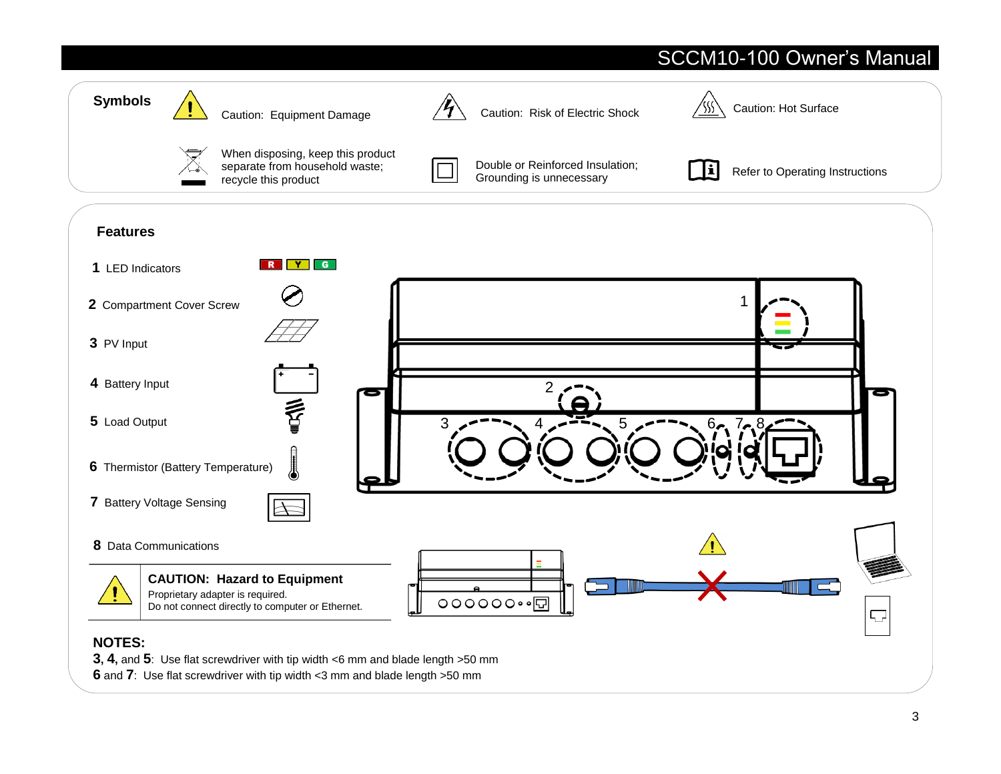### SCCM10-100 Owner's Manual



**6** and **7**: Use flat screwdriver with tip width <3 mm and blade length >50 mm